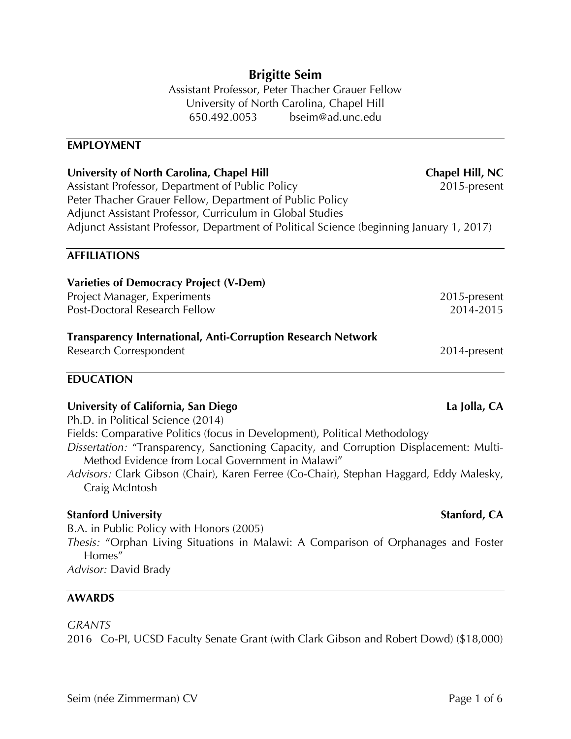# **Brigitte Seim**

Assistant Professor, Peter Thacher Grauer Fellow University of North Carolina, Chapel Hill 650.492.0053 bseim@ad.unc.edu

#### **EMPLOYMENT**

| University of North Carolina, Chapel Hill                                                | Chapel Hill, NC |
|------------------------------------------------------------------------------------------|-----------------|
| Assistant Professor, Department of Public Policy                                         | 2015-present    |
| Peter Thacher Grauer Fellow, Department of Public Policy                                 |                 |
| Adjunct Assistant Professor, Curriculum in Global Studies                                |                 |
| Adjunct Assistant Professor, Department of Political Science (beginning January 1, 2017) |                 |
|                                                                                          |                 |

#### **AFFILIATIONS**

| <b>Varieties of Democracy Project (V-Dem)</b>                       |              |
|---------------------------------------------------------------------|--------------|
| Project Manager, Experiments                                        | 2015-present |
| Post-Doctoral Research Fellow                                       | 2014-2015    |
| <b>Transparency International, Anti-Corruption Research Network</b> |              |
| Research Correspondent                                              | 2014-present |
|                                                                     |              |

### **EDUCATION**

#### **University of California, San Diego La Jolla, CA**

Ph.D. in Political Science (2014)

Fields: Comparative Politics (focus in Development), Political Methodology

*Dissertation:* "Transparency, Sanctioning Capacity, and Corruption Displacement: Multi-Method Evidence from Local Government in Malawi"

*Advisors:* Clark Gibson (Chair), Karen Ferree (Co-Chair), Stephan Haggard, Eddy Malesky, Craig McIntosh

### **Stanford University Stanford, CA**

B.A. in Public Policy with Honors (2005) *Thesis:* "Orphan Living Situations in Malawi: A Comparison of Orphanages and Foster Homes" *Advisor:* David Brady

#### **AWARDS**

#### *GRANTS*

2016 Co-PI, UCSD Faculty Senate Grant (with Clark Gibson and Robert Dowd) (\$18,000)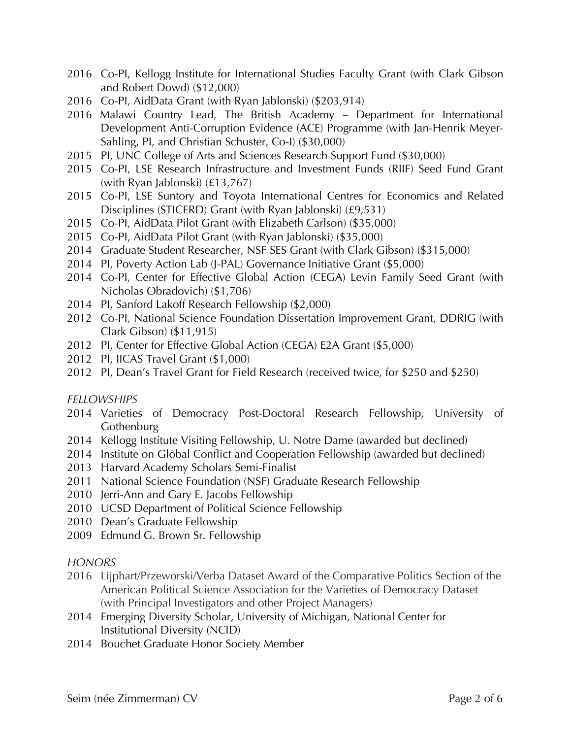- 2016 Co-PI, Kellogg Institute for International Studies Faculty Grant (with Clark Gibson and Robert Dowd) (\$12,000)
- 2016 Co-PI, AidData Grant (with Ryan Jablonski) (\$203,914)
- 2016 Malawi Country Lead, The British Academy Department for International Development Anti-Corruption Evidence (ACE) Programme (with Jan-Henrik Meyer-Sahling, PI, and Christian Schuster, Co-I) (\$30,000)
- 2015 PI, UNC College of Arts and Sciences Research Support Fund (\$30,000)
- 2015 Co-PI, LSE Research Infrastructure and Investment Funds (RIIF) Seed Fund Grant (with Ryan Jablonski) (£13,767)
- 2015 Co-PI, LSE Suntory and Toyota International Centres for Economics and Related Disciplines (STICERD) Grant (with Ryan Jablonski) (£9,531)
- 2015 Co-PI, AidData Pilot Grant (with Elizabeth Carlson) (\$35,000)
- 2015 Co-PI, AidData Pilot Grant (with Ryan Jablonski) (\$35,000)
- 2014 Graduate Student Researcher, NSF SES Grant (with Clark Gibson) (\$315,000)
- 2014 PI, Poverty Action Lab (J-PAL) Governance Initiative Grant (\$5,000)
- 2014 Co-PI, Center for Effective Global Action (CEGA) Levin Family Seed Grant (with Nicholas Obradovich) (\$1,706)
- 2014 PI, Sanford Lakoff Research Fellowship (\$2,000)
- 2012 Co-PI, National Science Foundation Dissertation Improvement Grant, DDRIG (with Clark Gibson) (\$11,915)
- 2012 PI, Center for Effective Global Action (CEGA) E2A Grant (\$5,000)
- 2012 PI, IICAS Travel Grant (\$1,000)
- 2012 PI, Dean's Travel Grant for Field Research (received twice, for \$250 and \$250)

## *FELLOWSHIPS*

- 2014 Varieties of Democracy Post-Doctoral Research Fellowship, University of **Gothenburg**
- 2014 Kellogg Institute Visiting Fellowship, U. Notre Dame (awarded but declined)
- 2014 Institute on Global Conflict and Cooperation Fellowship (awarded but declined)
- 2013 Harvard Academy Scholars Semi-Finalist
- 2011 National Science Foundation (NSF) Graduate Research Fellowship
- 2010 Jerri-Ann and Gary E. Jacobs Fellowship
- 2010 UCSD Department of Political Science Fellowship
- 2010 Dean's Graduate Fellowship
- 2009 Edmund G. Brown Sr. Fellowship

### *HONORS*

- 2016 Lijphart/Przeworski/Verba Dataset Award of the Comparative Politics Section of the American Political Science Association for the Varieties of Democracy Dataset (with Principal Investigators and other Project Managers)
- 2014 Emerging Diversity Scholar, University of Michigan, National Center for Institutional Diversity (NCID)
- 2014 Bouchet Graduate Honor Society Member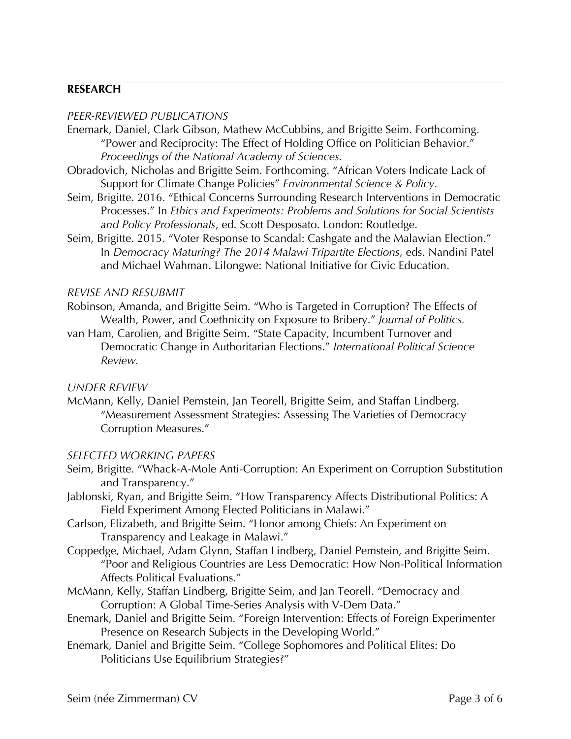## **RESEARCH**

#### *PEER-REVIEWED PUBLICATIONS*

- Enemark, Daniel, Clark Gibson, Mathew McCubbins, and Brigitte Seim. Forthcoming. "Power and Reciprocity: The Effect of Holding Office on Politician Behavior." *Proceedings of the National Academy of Sciences.*
- Obradovich, Nicholas and Brigitte Seim. Forthcoming. "African Voters Indicate Lack of Support for Climate Change Policies" *Environmental Science & Policy.*
- Seim, Brigitte. 2016. "Ethical Concerns Surrounding Research Interventions in Democratic Processes." In *Ethics and Experiments: Problems and Solutions for Social Scientists and Policy Professionals*, ed. Scott Desposato. London: Routledge.
- Seim, Brigitte. 2015. "Voter Response to Scandal: Cashgate and the Malawian Election." In *Democracy Maturing? The 2014 Malawi Tripartite Elections,* eds. Nandini Patel and Michael Wahman. Lilongwe: National Initiative for Civic Education.

#### *REVISE AND RESUBMIT*

- Robinson, Amanda, and Brigitte Seim. "Who is Targeted in Corruption? The Effects of Wealth, Power, and Coethnicity on Exposure to Bribery." *Journal of Politics.*
- van Ham, Carolien, and Brigitte Seim. "State Capacity, Incumbent Turnover and Democratic Change in Authoritarian Elections." *International Political Science Review.*

#### *UNDER REVIEW*

McMann, Kelly, Daniel Pemstein, Jan Teorell, Brigitte Seim, and Staffan Lindberg. "Measurement Assessment Strategies: Assessing The Varieties of Democracy Corruption Measures."

#### *SELECTED WORKING PAPERS*

- Seim, Brigitte. "Whack-A-Mole Anti-Corruption: An Experiment on Corruption Substitution and Transparency."
- Jablonski, Ryan, and Brigitte Seim. "How Transparency Affects Distributional Politics: A Field Experiment Among Elected Politicians in Malawi."
- Carlson, Elizabeth, and Brigitte Seim. "Honor among Chiefs: An Experiment on Transparency and Leakage in Malawi."
- Coppedge, Michael, Adam Glynn, Staffan Lindberg, Daniel Pemstein, and Brigitte Seim. "Poor and Religious Countries are Less Democratic: How Non-Political Information Affects Political Evaluations."
- McMann, Kelly, Staffan Lindberg, Brigitte Seim, and Jan Teorell. "Democracy and Corruption: A Global Time-Series Analysis with V-Dem Data."
- Enemark, Daniel and Brigitte Seim. "Foreign Intervention: Effects of Foreign Experimenter Presence on Research Subjects in the Developing World."
- Enemark, Daniel and Brigitte Seim. "College Sophomores and Political Elites: Do Politicians Use Equilibrium Strategies?"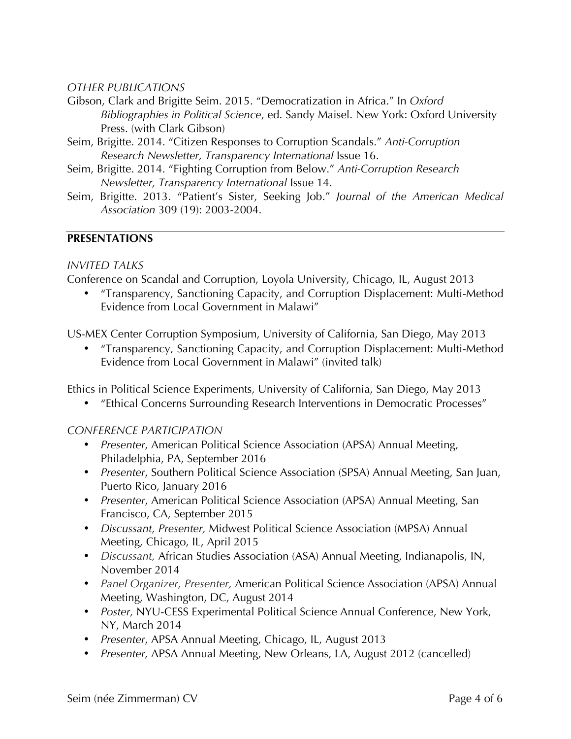## *OTHER PUBLICATIONS*

- Gibson, Clark and Brigitte Seim. 2015. "Democratization in Africa." In *Oxford Bibliographies in Political Science*, ed. Sandy Maisel. New York: Oxford University Press. (with Clark Gibson)
- Seim, Brigitte. 2014. "Citizen Responses to Corruption Scandals." *Anti-Corruption Research Newsletter, Transparency International* Issue 16.
- Seim, Brigitte. 2014. "Fighting Corruption from Below." *Anti-Corruption Research Newsletter, Transparency International* Issue 14.
- Seim, Brigitte. 2013. "Patient's Sister, Seeking Job." *Journal of the American Medical Association* 309 (19): 2003-2004.

## **PRESENTATIONS**

### *INVITED TALKS*

Conference on Scandal and Corruption, Loyola University, Chicago, IL, August 2013

• "Transparency, Sanctioning Capacity, and Corruption Displacement: Multi-Method Evidence from Local Government in Malawi"

US-MEX Center Corruption Symposium, University of California, San Diego, May 2013

• "Transparency, Sanctioning Capacity, and Corruption Displacement: Multi-Method Evidence from Local Government in Malawi" (invited talk)

Ethics in Political Science Experiments, University of California, San Diego, May 2013

• "Ethical Concerns Surrounding Research Interventions in Democratic Processes"

### *CONFERENCE PARTICIPATION*

- *Presenter*, American Political Science Association (APSA) Annual Meeting, Philadelphia, PA, September 2016
- *Presenter*, Southern Political Science Association (SPSA) Annual Meeting, San Juan, Puerto Rico, January 2016
- *Presenter*, American Political Science Association (APSA) Annual Meeting, San Francisco, CA, September 2015
- *Discussant, Presenter,* Midwest Political Science Association (MPSA) Annual Meeting, Chicago, IL, April 2015
- *Discussant,* African Studies Association (ASA) Annual Meeting, Indianapolis, IN, November 2014
- *Panel Organizer, Presenter,* American Political Science Association (APSA) Annual Meeting, Washington, DC, August 2014
- *Poster,* NYU-CESS Experimental Political Science Annual Conference, New York, NY, March 2014
- *Presenter*, APSA Annual Meeting, Chicago, IL, August 2013
- *Presenter,* APSA Annual Meeting, New Orleans, LA, August 2012 (cancelled)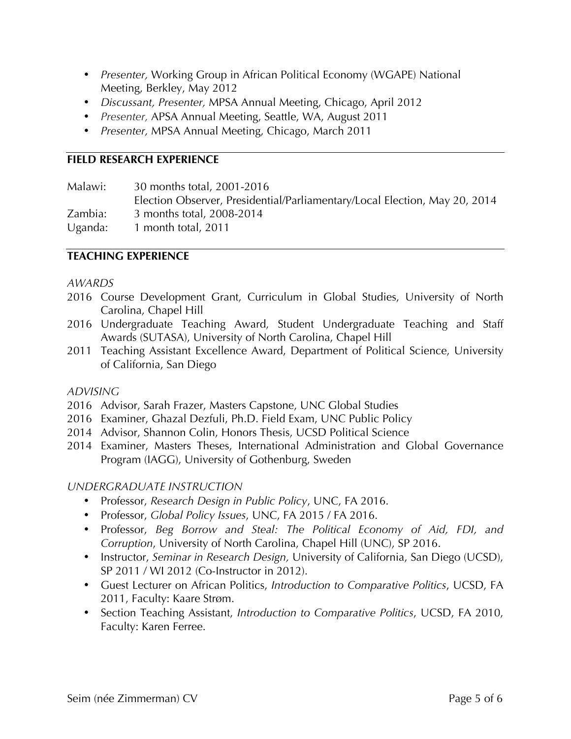- *Presenter,* Working Group in African Political Economy (WGAPE) National Meeting, Berkley, May 2012
- *Discussant, Presenter,* MPSA Annual Meeting, Chicago, April 2012
- *Presenter,* APSA Annual Meeting, Seattle, WA, August 2011
- *Presenter,* MPSA Annual Meeting, Chicago, March 2011

## **FIELD RESEARCH EXPERIENCE**

Malawi: 30 months total, 2001-2016 Election Observer, Presidential/Parliamentary/Local Election, May 20, 2014 Zambia: 3 months total, 2008-2014 Uganda: 1 month total, 2011

## **TEACHING EXPERIENCE**

### *AWARDS*

- 2016 Course Development Grant, Curriculum in Global Studies, University of North Carolina, Chapel Hill
- 2016 Undergraduate Teaching Award, Student Undergraduate Teaching and Staff Awards (SUTASA), University of North Carolina, Chapel Hill
- 2011 Teaching Assistant Excellence Award, Department of Political Science, University of California, San Diego

### *ADVISING*

- 2016 Advisor, Sarah Frazer, Masters Capstone, UNC Global Studies
- 2016 Examiner, Ghazal Dezfuli, Ph.D. Field Exam, UNC Public Policy
- 2014 Advisor, Shannon Colin, Honors Thesis, UCSD Political Science
- 2014 Examiner, Masters Theses, International Administration and Global Governance Program (IAGG), University of Gothenburg, Sweden

### *UNDERGRADUATE INSTRUCTION*

- Professor, *Research Design in Public Policy*, UNC, FA 2016.
- Professor, *Global Policy Issues*, UNC, FA 2015 / FA 2016.
- Professor, *Beg Borrow and Steal: The Political Economy of Aid, FDI, and Corruption*, University of North Carolina, Chapel Hill (UNC), SP 2016.
- Instructor, *Seminar in Research Design,* University of California, San Diego (UCSD), SP 2011 / WI 2012 (Co-Instructor in 2012).
- Guest Lecturer on African Politics, *Introduction to Comparative Politics*, UCSD, FA 2011, Faculty: Kaare Strøm.
- Section Teaching Assistant, *Introduction to Comparative Politics*, UCSD, FA 2010, Faculty: Karen Ferree.